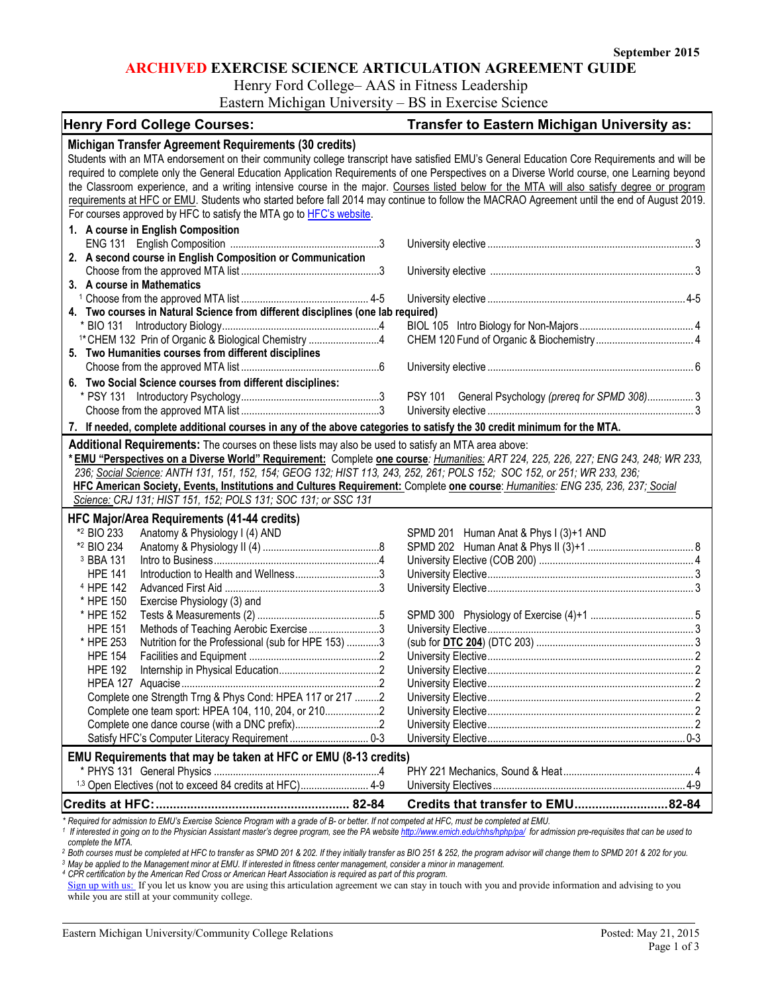#### **ARCHIVED EXERCISE SCIENCE ARTICULATION AGREEMENT GUIDE**

Henry Ford College– AAS in Fitness Leadership

Eastern Michigan University – BS in Exercise Science

| <b>Henry Ford College Courses:</b>                                                                                                          | <b>Transfer to Eastern Michigan University as:</b>                                                                                                                                 |
|---------------------------------------------------------------------------------------------------------------------------------------------|------------------------------------------------------------------------------------------------------------------------------------------------------------------------------------|
| Michigan Transfer Agreement Requirements (30 credits)                                                                                       |                                                                                                                                                                                    |
| Students with an MTA endorsement on their community college transcript have satisfied EMU's General Education Core Requirements and will be |                                                                                                                                                                                    |
| required to complete only the General Education Application Requirements of one Perspectives on a Diverse World course, one Learning beyond |                                                                                                                                                                                    |
| the Classroom experience, and a writing intensive course in the major. Courses listed below for the MTA will also satisfy degree or program |                                                                                                                                                                                    |
| requirements at HFC or EMU. Students who started before fall 2014 may continue to follow the MACRAO Agreement until the end of August 2019. |                                                                                                                                                                                    |
| For courses approved by HFC to satisfy the MTA go to HFC's website.                                                                         |                                                                                                                                                                                    |
| 1. A course in English Composition                                                                                                          |                                                                                                                                                                                    |
|                                                                                                                                             |                                                                                                                                                                                    |
| 2. A second course in English Composition or Communication                                                                                  |                                                                                                                                                                                    |
|                                                                                                                                             |                                                                                                                                                                                    |
| 3. A course in Mathematics                                                                                                                  |                                                                                                                                                                                    |
|                                                                                                                                             |                                                                                                                                                                                    |
| 4. Two courses in Natural Science from different disciplines (one lab required)                                                             |                                                                                                                                                                                    |
|                                                                                                                                             |                                                                                                                                                                                    |
| <sup>1*</sup> CHEM 132 Prin of Organic & Biological Chemistry 4                                                                             |                                                                                                                                                                                    |
| 5. Two Humanities courses from different disciplines                                                                                        |                                                                                                                                                                                    |
|                                                                                                                                             |                                                                                                                                                                                    |
|                                                                                                                                             |                                                                                                                                                                                    |
| 6. Two Social Science courses from different disciplines:                                                                                   |                                                                                                                                                                                    |
|                                                                                                                                             | PSY 101 General Psychology (prereq for SPMD 308) 3                                                                                                                                 |
|                                                                                                                                             |                                                                                                                                                                                    |
| 7. If needed, complete additional courses in any of the above categories to satisfy the 30 credit minimum for the MTA.                      |                                                                                                                                                                                    |
| Additional Requirements: The courses on these lists may also be used to satisfy an MTA area above:                                          |                                                                                                                                                                                    |
| *EMU "Perspectives on a Diverse World" Requirement: Complete one course: Humanities: ART 224, 225, 226, 227; ENG 243, 248; WR 233,          |                                                                                                                                                                                    |
| 236; Social Science: ANTH 131, 151, 152, 154; GEOG 132; HIST 113, 243, 252, 261; POLS 152; SOC 152, or 251; WR 233, 236;                    |                                                                                                                                                                                    |
| HFC American Society, Events, Institutions and Cultures Requirement: Complete one course: Humanities: ENG 235, 236, 237; Social             |                                                                                                                                                                                    |
| Science: CRJ 131; HIST 151, 152; POLS 131; SOC 131; or SSC 131                                                                              |                                                                                                                                                                                    |
| <b>HFC Major/Area Requirements (41-44 credits)</b>                                                                                          |                                                                                                                                                                                    |
| *2 BIO 233<br>Anatomy & Physiology I (4) AND                                                                                                | SPMD 201 Human Anat & Phys I (3)+1 AND                                                                                                                                             |
| *2 BIO 234                                                                                                                                  |                                                                                                                                                                                    |
| <sup>3</sup> BBA 131                                                                                                                        |                                                                                                                                                                                    |
| <b>HPE 141</b>                                                                                                                              |                                                                                                                                                                                    |
| <sup>4</sup> HPE 142                                                                                                                        |                                                                                                                                                                                    |
| * HPE 150<br>Exercise Physiology (3) and                                                                                                    |                                                                                                                                                                                    |
| * HPE 152                                                                                                                                   |                                                                                                                                                                                    |
| <b>HPE 151</b><br>Methods of Teaching Aerobic Exercise3                                                                                     |                                                                                                                                                                                    |
| * HPE 253<br>Nutrition for the Professional (sub for HPE 153) 3                                                                             |                                                                                                                                                                                    |
| <b>HPE 154</b>                                                                                                                              |                                                                                                                                                                                    |
| <b>HPE 192</b>                                                                                                                              |                                                                                                                                                                                    |
|                                                                                                                                             |                                                                                                                                                                                    |
| Complete one Strength Trng & Phys Cond: HPEA 117 or 217 2                                                                                   |                                                                                                                                                                                    |
| Complete one team sport: HPEA 104, 110, 204, or 210                                                                                         |                                                                                                                                                                                    |
|                                                                                                                                             |                                                                                                                                                                                    |
|                                                                                                                                             |                                                                                                                                                                                    |
| EMU Requirements that may be taken at HFC or EMU (8-13 credits)                                                                             |                                                                                                                                                                                    |
|                                                                                                                                             |                                                                                                                                                                                    |
| 1,3 Open Electives (not to exceed 84 credits at HFC) 4-9                                                                                    |                                                                                                                                                                                    |
|                                                                                                                                             |                                                                                                                                                                                    |
|                                                                                                                                             | Credits that transfer to EMU82-84<br>* Poquired for admission to EMI I's Evernise Science Program with a grade of B, or botter. If not competed at HEC, must be completed at EMI I |

\* Required for admission to EMU's Exercise Science Program with a grade of B- or better. If not competed at HFC, must be completed at EMU.<br><sup>1</sup> If interested in going on to the Physician Assistant master's degree program, s

*complete the MTA.*

<sup>2</sup> Both courses must be completed at HFC to transfer as SPMD 201 & 202. If they initially transfer as BIO 251 & 252, the program advisor will change them to SPMD 201 & 202 for you. *<sup>3</sup> May be applied to the Management minor at EMU. If interested in fitness center management, consider a minor in management.*

*<sup>4</sup> CPR certification by the American Red Cross or American Heart Association is required as part of this program.*

[Sign up with us:](https://www.emich.edu/ccr/articulation-agreements/signup.php) If you let us know you are using this articulation agreement we can stay in touch with you and provide information and advising to you while you are still at your community college.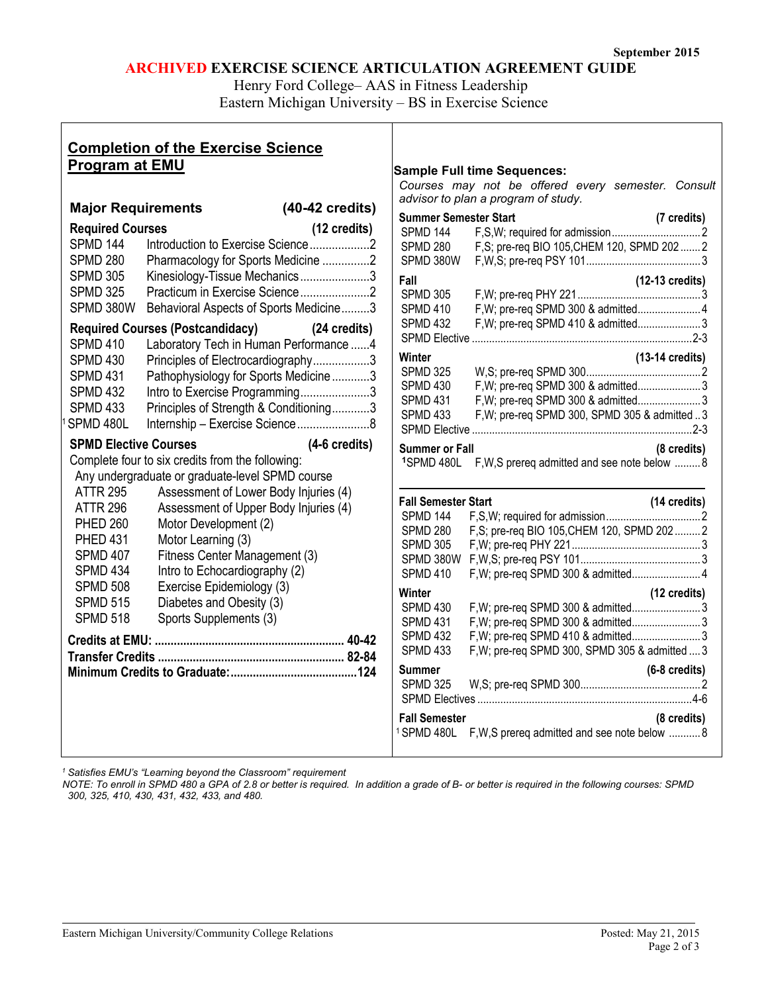# **ARCHIVED EXERCISE SCIENCE ARTICULATION AGREEMENT GUIDE**

Henry Ford College– AAS in Fitness Leadership

Eastern Michigan University – BS in Exercise Science

| <b>Completion of the Exercise Science</b><br><b>Program at EMU</b>                                                                                                                                                                                                                                                                                                                                                                                                                                                                                                                                                                                   | <b>Sample Full time Sequences:</b>                                                                                                                                                                                                                                                                                                                                                                                                                                                                                           |
|------------------------------------------------------------------------------------------------------------------------------------------------------------------------------------------------------------------------------------------------------------------------------------------------------------------------------------------------------------------------------------------------------------------------------------------------------------------------------------------------------------------------------------------------------------------------------------------------------------------------------------------------------|------------------------------------------------------------------------------------------------------------------------------------------------------------------------------------------------------------------------------------------------------------------------------------------------------------------------------------------------------------------------------------------------------------------------------------------------------------------------------------------------------------------------------|
| $(40-42 \text{ credits})$<br><b>Major Requirements</b>                                                                                                                                                                                                                                                                                                                                                                                                                                                                                                                                                                                               | Courses may not be offered every semester. Consult<br>advisor to plan a program of study.                                                                                                                                                                                                                                                                                                                                                                                                                                    |
| (12 credits)<br><b>Required Courses</b><br><b>SPMD 144</b><br><b>SPMD 280</b><br>Pharmacology for Sports Medicine 2<br><b>SPMD 305</b><br>Kinesiology-Tissue Mechanics3<br>Practicum in Exercise Science2<br><b>SPMD 325</b><br>SPMD 380W<br>Behavioral Aspects of Sports Medicine3<br>Required Courses (Postcandidacy) (24 credits)<br>Laboratory Tech in Human Performance 4<br><b>SPMD 410</b><br><b>SPMD 430</b><br>Principles of Electrocardiography3<br>Pathophysiology for Sports Medicine3<br><b>SPMD 431</b><br>Intro to Exercise Programming3<br><b>SPMD 432</b><br><b>SPMD 433</b><br>Principles of Strength & Conditioning3<br>SPMD 480L | <b>Summer Semester Start</b><br>(7 credits)<br>SPMD 144<br>F,S; pre-req BIO 105, CHEM 120, SPMD 202  2<br><b>SPMD 280</b><br>SPMD 380W<br>$(12-13 \text{ credits})$<br>Fall<br><b>SPMD 305</b><br><b>SPMD 410</b><br>F, W; pre-req SPMD 410 & admitted3<br><b>SPMD 432</b><br>Winter<br>$(13-14 \text{ credits})$<br><b>SPMD 325</b><br>F, W; pre-req SPMD 300 & admitted 3<br><b>SPMD 430</b><br><b>SPMD 431</b><br>F, W; pre-req SPMD 300 & admitted 3<br><b>SPMD 433</b><br>F, W; pre-req SPMD 300, SPMD 305 & admitted 3 |
| <b>SPMD Elective Courses</b><br>$(4-6$ credits)<br>Complete four to six credits from the following:<br>Any undergraduate or graduate-level SPMD course<br><b>ATTR 295</b><br>Assessment of Lower Body Injuries (4)<br><b>ATTR 296</b><br>Assessment of Upper Body Injuries (4)<br><b>PHED 260</b><br>Motor Development (2)<br><b>PHED 431</b><br>Motor Learning (3)<br><b>SPMD 407</b><br>Fitness Center Management (3)<br><b>SPMD 434</b><br>Intro to Echocardiography (2)<br><b>SPMD 508</b><br>Exercise Epidemiology (3)<br><b>SPMD 515</b><br>Diabetes and Obesity (3)<br><b>SPMD 518</b><br>Sports Supplements (3)                              | <b>Summer or Fall</b><br>(8 credits)<br>1SPMD 480L F, W, S prereq admitted and see note below  8<br><b>Fall Semester Start</b><br>(14 credits)<br>SPMD 144<br>F,S; pre-req BIO 105, CHEM 120, SPMD 202 2<br><b>SPMD 280</b><br>SPMD 305<br>SPMD 410<br>F, W; pre-req SPMD 300 & admitted 4<br>Winter<br>(12 credits)<br><b>SPMD 430</b><br>F, W; pre-req SPMD 300 & admitted3<br><b>SPMD 431</b>                                                                                                                             |
|                                                                                                                                                                                                                                                                                                                                                                                                                                                                                                                                                                                                                                                      | F, W; pre-req SPMD 410 & admitted 3<br>SPMD 432<br><b>SPMD 433</b><br>F, W; pre-req SPMD 300, SPMD 305 & admitted  3<br><b>Summer</b><br>$(6-8 \text{ credits})$<br><b>SPMD 325</b><br><b>Fall Semester</b><br>(8 credits)<br><sup>1</sup> SPMD 480L F, W, S prereq admitted and see note below  8                                                                                                                                                                                                                           |

*<sup>1</sup> Satisfies EMU's "Learning beyond the Classroom" requirement*

*NOTE: To enroll in SPMD 480 a GPA of 2.8 or better is required. In addition a grade of B- or better is required in the following courses: SPMD 300, 325, 410, 430, 431, 432, 433, and 480.*